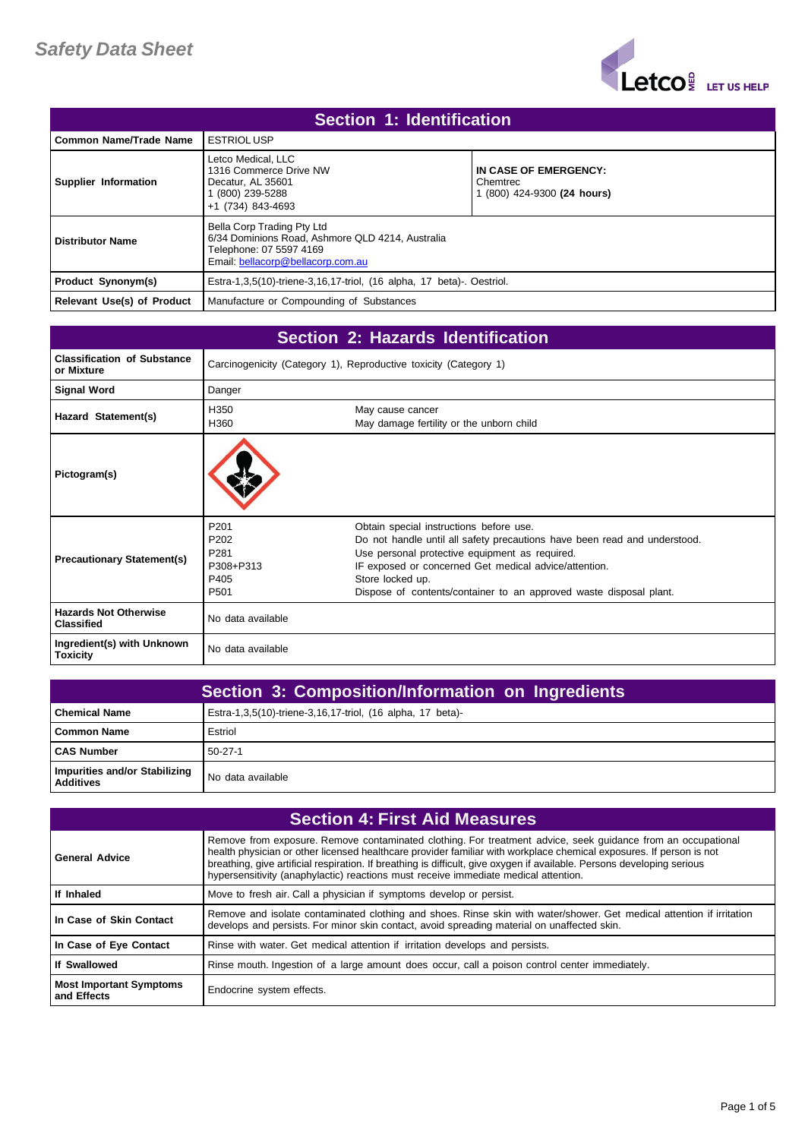

| Section 1: Identification         |                                                                                                                                                |                                                                  |
|-----------------------------------|------------------------------------------------------------------------------------------------------------------------------------------------|------------------------------------------------------------------|
| Common Name/Trade Name            | <b>ESTRIOL USP</b>                                                                                                                             |                                                                  |
| Supplier Information              | Letco Medical, LLC<br>1316 Commerce Drive NW<br>Decatur, AL 35601<br>(800) 239-5288<br>+1 (734) 843-4693                                       | IN CASE OF EMERGENCY:<br>Chemtrec<br>1 (800) 424-9300 (24 hours) |
| <b>Distributor Name</b>           | Bella Corp Trading Pty Ltd<br>6/34 Dominions Road, Ashmore QLD 4214, Australia<br>Telephone: 07 5597 4169<br>Email: bellacorp@bellacorp.com.au |                                                                  |
| <b>Product Synonym(s)</b>         | Estra-1,3,5(10)-triene-3,16,17-triol, (16 alpha, 17 beta)-. Oestriol.                                                                          |                                                                  |
| <b>Relevant Use(s) of Product</b> | Manufacture or Compounding of Substances                                                                                                       |                                                                  |

| Section 2: Hazards Identification                 |                                                                                                   |                                                                                                                                                                                                                                                                                                                           |
|---------------------------------------------------|---------------------------------------------------------------------------------------------------|---------------------------------------------------------------------------------------------------------------------------------------------------------------------------------------------------------------------------------------------------------------------------------------------------------------------------|
| <b>Classification of Substance</b><br>or Mixture  |                                                                                                   | Carcinogenicity (Category 1), Reproductive toxicity (Category 1)                                                                                                                                                                                                                                                          |
| <b>Signal Word</b>                                | Danger                                                                                            |                                                                                                                                                                                                                                                                                                                           |
| Hazard Statement(s)                               | H <sub>350</sub><br>H <sub>360</sub>                                                              | May cause cancer<br>May damage fertility or the unborn child                                                                                                                                                                                                                                                              |
| Pictogram(s)                                      |                                                                                                   |                                                                                                                                                                                                                                                                                                                           |
| <b>Precautionary Statement(s)</b>                 | P <sub>201</sub><br>P <sub>202</sub><br>P <sub>281</sub><br>P308+P313<br>P405<br>P <sub>501</sub> | Obtain special instructions before use.<br>Do not handle until all safety precautions have been read and understood.<br>Use personal protective equipment as required.<br>IF exposed or concerned Get medical advice/attention.<br>Store locked up.<br>Dispose of contents/container to an approved waste disposal plant. |
| <b>Hazards Not Otherwise</b><br><b>Classified</b> | No data available                                                                                 |                                                                                                                                                                                                                                                                                                                           |
| Ingredient(s) with Unknown<br><b>Toxicity</b>     | No data available                                                                                 |                                                                                                                                                                                                                                                                                                                           |

| Section 3: Composition/Information on Ingredients |                                                            |
|---------------------------------------------------|------------------------------------------------------------|
| <b>Chemical Name</b>                              | Estra-1,3,5(10)-triene-3,16,17-triol, (16 alpha, 17 beta)- |
| <b>Common Name</b>                                | Estriol                                                    |
| <b>CAS Number</b>                                 | $50-27-1$                                                  |
| Impurities and/or Stabilizing<br><b>Additives</b> | I No data available                                        |

| <b>Section 4: First Aid Measures</b>          |                                                                                                                                                                                                                                                                                                                                                                                                                                                       |
|-----------------------------------------------|-------------------------------------------------------------------------------------------------------------------------------------------------------------------------------------------------------------------------------------------------------------------------------------------------------------------------------------------------------------------------------------------------------------------------------------------------------|
| <b>General Advice</b>                         | Remove from exposure. Remove contaminated clothing. For treatment advice, seek guidance from an occupational<br>health physician or other licensed healthcare provider familiar with workplace chemical exposures. If person is not<br>breathing, give artificial respiration. If breathing is difficult, give oxygen if available. Persons developing serious<br>hypersensitivity (anaphylactic) reactions must receive immediate medical attention. |
| If Inhaled                                    | Move to fresh air. Call a physician if symptoms develop or persist.                                                                                                                                                                                                                                                                                                                                                                                   |
| In Case of Skin Contact                       | Remove and isolate contaminated clothing and shoes. Rinse skin with water/shower. Get medical attention if irritation<br>develops and persists. For minor skin contact, avoid spreading material on unaffected skin.                                                                                                                                                                                                                                  |
| In Case of Eye Contact                        | Rinse with water. Get medical attention if irritation develops and persists.                                                                                                                                                                                                                                                                                                                                                                          |
| If Swallowed                                  | Rinse mouth. Ingestion of a large amount does occur, call a poison control center immediately.                                                                                                                                                                                                                                                                                                                                                        |
| <b>Most Important Symptoms</b><br>and Effects | Endocrine system effects.                                                                                                                                                                                                                                                                                                                                                                                                                             |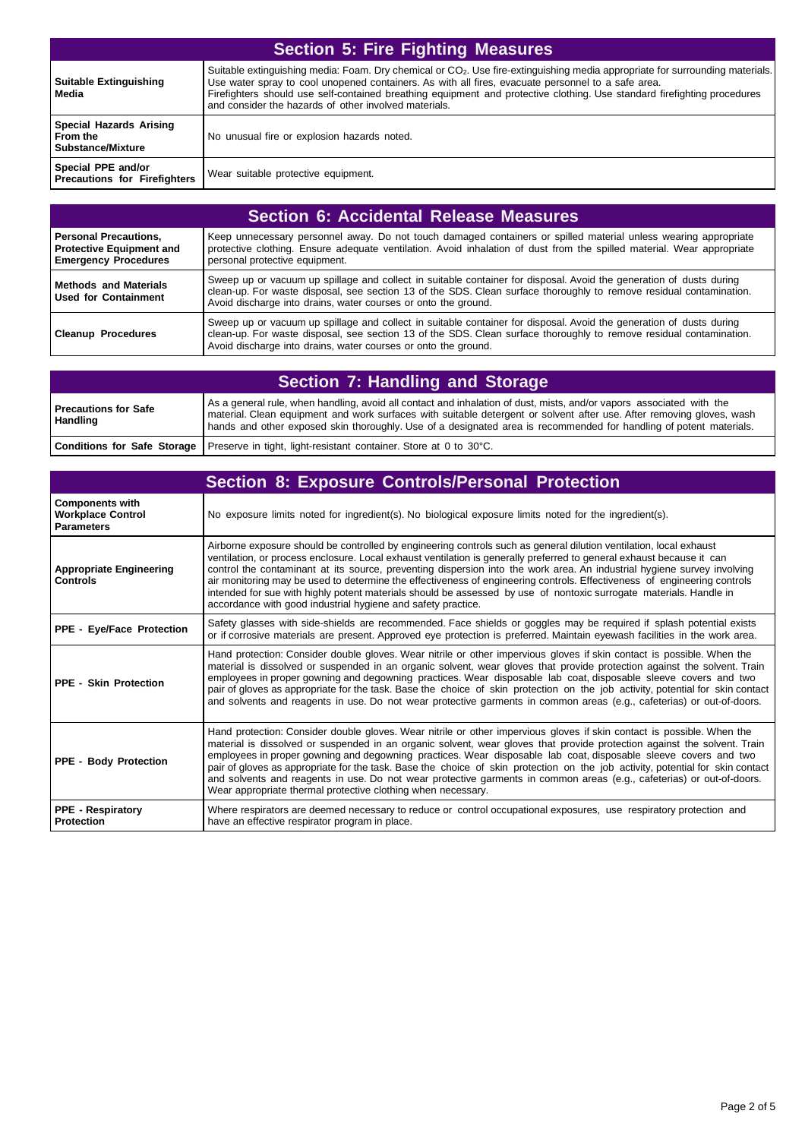| <b>Section 5: Fire Fighting Measures</b>                        |                                                                                                                                                                                                                                                                                                                                                                                                                                      |
|-----------------------------------------------------------------|--------------------------------------------------------------------------------------------------------------------------------------------------------------------------------------------------------------------------------------------------------------------------------------------------------------------------------------------------------------------------------------------------------------------------------------|
| <b>Suitable Extinguishing</b><br>Media                          | Suitable extinguishing media: Foam. Dry chemical or CO <sub>2</sub> . Use fire-extinguishing media appropriate for surrounding materials.<br>Use water spray to cool unopened containers. As with all fires, evacuate personnel to a safe area.<br>Firefighters should use self-contained breathing equipment and protective clothing. Use standard firefighting procedures<br>and consider the hazards of other involved materials. |
| Special Hazards Arising<br>From the<br><b>Substance/Mixture</b> | No unusual fire or explosion hazards noted.                                                                                                                                                                                                                                                                                                                                                                                          |
| Special PPE and/or<br><b>Precautions for Firefighters</b>       | Wear suitable protective equipment.                                                                                                                                                                                                                                                                                                                                                                                                  |

| Section 6: Accidental Release Measures                                                         |                                                                                                                                                                                                                                                                                                              |
|------------------------------------------------------------------------------------------------|--------------------------------------------------------------------------------------------------------------------------------------------------------------------------------------------------------------------------------------------------------------------------------------------------------------|
| <b>Personal Precautions,</b><br><b>Protective Equipment and</b><br><b>Emergency Procedures</b> | Keep unnecessary personnel away. Do not touch damaged containers or spilled material unless wearing appropriate<br>protective clothing. Ensure adequate ventilation. Avoid inhalation of dust from the spilled material. Wear appropriate<br>personal protective equipment.                                  |
| <b>Methods and Materials</b><br><b>Used for Containment</b>                                    | Sweep up or vacuum up spillage and collect in suitable container for disposal. Avoid the generation of dusts during<br>clean-up. For waste disposal, see section 13 of the SDS. Clean surface thoroughly to remove residual contamination.<br>Avoid discharge into drains, water courses or onto the ground. |
| <b>Cleanup Procedures</b>                                                                      | Sweep up or vacuum up spillage and collect in suitable container for disposal. Avoid the generation of dusts during<br>clean-up. For waste disposal, see section 13 of the SDS. Clean surface thoroughly to remove residual contamination.<br>Avoid discharge into drains, water courses or onto the ground. |

| <b>Section 7: Handling and Storage</b>         |                                                                                                                                                                                                                                                                                                                                                                     |
|------------------------------------------------|---------------------------------------------------------------------------------------------------------------------------------------------------------------------------------------------------------------------------------------------------------------------------------------------------------------------------------------------------------------------|
| <b>Precautions for Safe</b><br><b>Handling</b> | As a general rule, when handling, avoid all contact and inhalation of dust, mists, and/or vapors associated with the<br>material. Clean equipment and work surfaces with suitable detergent or solvent after use. After removing gloves, wash<br>hands and other exposed skin thoroughly. Use of a designated area is recommended for handling of potent materials. |
|                                                | <b>Conditions for Safe Storage</b>   Preserve in tight, light-resistant container. Store at 0 to 30°C.                                                                                                                                                                                                                                                              |

|                                                                         | Section 8: Exposure Controls/Personal Protection                                                                                                                                                                                                                                                                                                                                                                                                                                                                                                                                                                                                                                                 |
|-------------------------------------------------------------------------|--------------------------------------------------------------------------------------------------------------------------------------------------------------------------------------------------------------------------------------------------------------------------------------------------------------------------------------------------------------------------------------------------------------------------------------------------------------------------------------------------------------------------------------------------------------------------------------------------------------------------------------------------------------------------------------------------|
| <b>Components with</b><br><b>Workplace Control</b><br><b>Parameters</b> | No exposure limits noted for ingredient(s). No biological exposure limits noted for the ingredient(s).                                                                                                                                                                                                                                                                                                                                                                                                                                                                                                                                                                                           |
| <b>Appropriate Engineering</b><br><b>Controls</b>                       | Airborne exposure should be controlled by engineering controls such as general dilution ventilation, local exhaust<br>ventilation, or process enclosure. Local exhaust ventilation is generally preferred to general exhaust because it can<br>control the contaminant at its source, preventing dispersion into the work area. An industrial hygiene survey involving<br>air monitoring may be used to determine the effectiveness of engineering controls. Effectiveness of engineering controls<br>intended for sue with highly potent materials should be assessed by use of nontoxic surrogate materials. Handle in<br>accordance with good industrial hygiene and safety practice.         |
| <b>PPE - Eye/Face Protection</b>                                        | Safety glasses with side-shields are recommended. Face shields or goggles may be required if splash potential exists<br>or if corrosive materials are present. Approved eye protection is preferred. Maintain eyewash facilities in the work area.                                                                                                                                                                                                                                                                                                                                                                                                                                               |
| <b>PPE - Skin Protection</b>                                            | Hand protection: Consider double gloves. Wear nitrile or other impervious gloves if skin contact is possible. When the<br>material is dissolved or suspended in an organic solvent, wear gloves that provide protection against the solvent. Train<br>employees in proper gowning and degowning practices. Wear disposable lab coat, disposable sleeve covers and two<br>pair of gloves as appropriate for the task. Base the choice of skin protection on the job activity, potential for skin contact<br>and solvents and reagents in use. Do not wear protective garments in common areas (e.g., cafeterias) or out-of-doors.                                                                 |
| <b>PPE - Body Protection</b>                                            | Hand protection: Consider double gloves. Wear nitrile or other impervious gloves if skin contact is possible. When the<br>material is dissolved or suspended in an organic solvent, wear gloves that provide protection against the solvent. Train<br>employees in proper gowning and degowning practices. Wear disposable lab coat, disposable sleeve covers and two<br>pair of gloves as appropriate for the task. Base the choice of skin protection on the job activity, potential for skin contact<br>and solvents and reagents in use. Do not wear protective garments in common areas (e.g., cafeterias) or out-of-doors.<br>Wear appropriate thermal protective clothing when necessary. |
| <b>PPE - Respiratory</b><br><b>Protection</b>                           | Where respirators are deemed necessary to reduce or control occupational exposures, use respiratory protection and<br>have an effective respirator program in place.                                                                                                                                                                                                                                                                                                                                                                                                                                                                                                                             |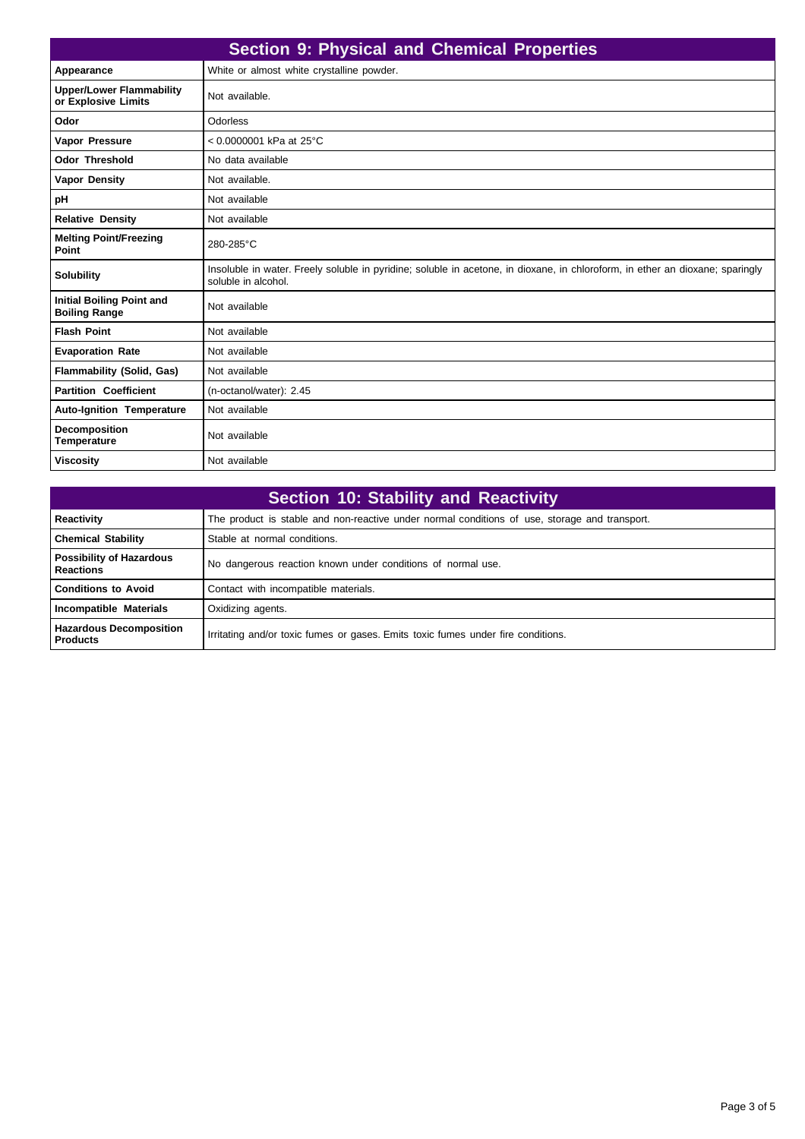|                                                          | <b>Section 9: Physical and Chemical Properties</b>                                                                                                   |
|----------------------------------------------------------|------------------------------------------------------------------------------------------------------------------------------------------------------|
| Appearance                                               | White or almost white crystalline powder.                                                                                                            |
| <b>Upper/Lower Flammability</b><br>or Explosive Limits   | Not available.                                                                                                                                       |
| Odor                                                     | Odorless                                                                                                                                             |
| Vapor Pressure                                           | $< 0.0000001$ kPa at 25°C                                                                                                                            |
| <b>Odor Threshold</b>                                    | No data available                                                                                                                                    |
| <b>Vapor Density</b>                                     | Not available.                                                                                                                                       |
| pH                                                       | Not available                                                                                                                                        |
| <b>Relative Density</b>                                  | Not available                                                                                                                                        |
| <b>Melting Point/Freezing</b><br>Point                   | 280-285°C                                                                                                                                            |
| <b>Solubility</b>                                        | Insoluble in water. Freely soluble in pyridine; soluble in acetone, in dioxane, in chloroform, in ether an dioxane; sparingly<br>soluble in alcohol. |
| <b>Initial Boiling Point and</b><br><b>Boiling Range</b> | Not available                                                                                                                                        |
| <b>Flash Point</b>                                       | Not available                                                                                                                                        |
| <b>Evaporation Rate</b>                                  | Not available                                                                                                                                        |
| Flammability (Solid, Gas)                                | Not available                                                                                                                                        |
| <b>Partition Coefficient</b>                             | (n-octanol/water): 2.45                                                                                                                              |
| <b>Auto-Ignition Temperature</b>                         | Not available                                                                                                                                        |
| <b>Decomposition</b><br><b>Temperature</b>               | Not available                                                                                                                                        |
| <b>Viscosity</b>                                         | Not available                                                                                                                                        |

| Section 10: Stability and Reactivity                |                                                                                               |
|-----------------------------------------------------|-----------------------------------------------------------------------------------------------|
| <b>Reactivity</b>                                   | The product is stable and non-reactive under normal conditions of use, storage and transport. |
| <b>Chemical Stability</b>                           | Stable at normal conditions.                                                                  |
| <b>Possibility of Hazardous</b><br><b>Reactions</b> | No dangerous reaction known under conditions of normal use.                                   |
| <b>Conditions to Avoid</b>                          | Contact with incompatible materials.                                                          |
| Incompatible Materials                              | Oxidizing agents.                                                                             |
| <b>Hazardous Decomposition</b><br><b>Products</b>   | Irritating and/or toxic fumes or gases. Emits toxic fumes under fire conditions.              |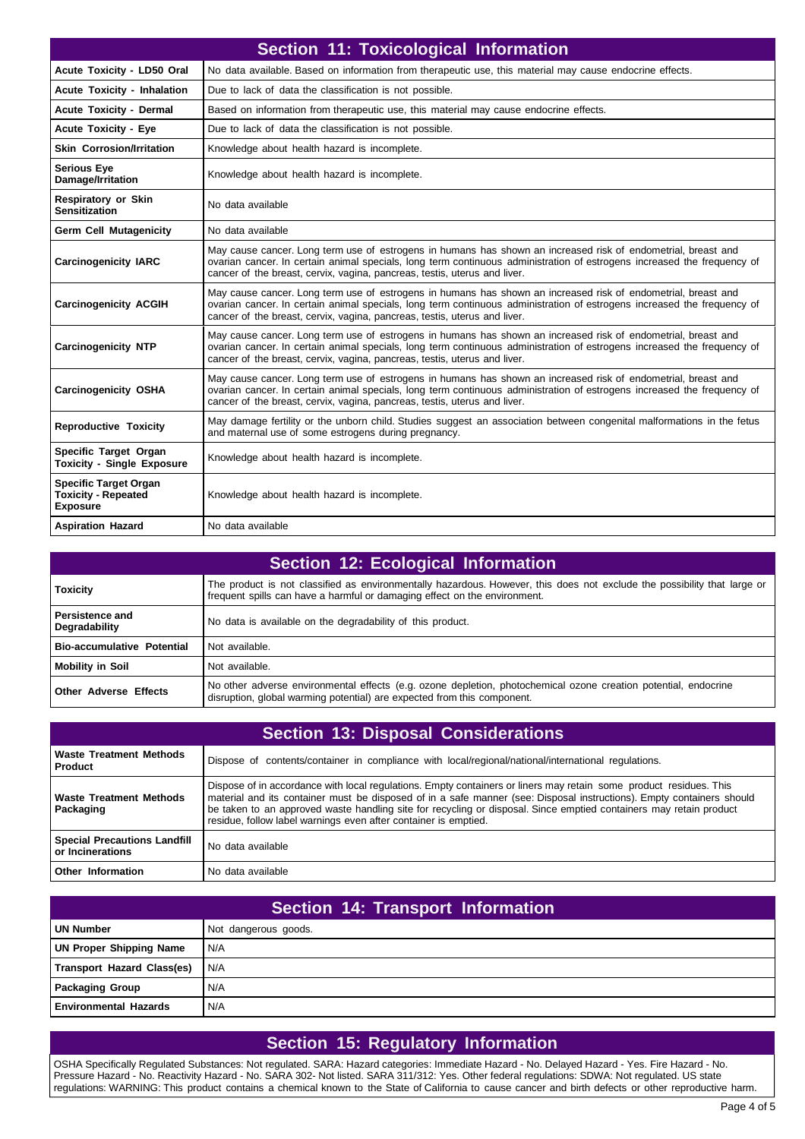|                                                                               | <b>Section 11: Toxicological Information</b>                                                                                                                                                                                                                                                                          |
|-------------------------------------------------------------------------------|-----------------------------------------------------------------------------------------------------------------------------------------------------------------------------------------------------------------------------------------------------------------------------------------------------------------------|
| Acute Toxicity - LD50 Oral                                                    | No data available. Based on information from therapeutic use, this material may cause endocrine effects.                                                                                                                                                                                                              |
| <b>Acute Toxicity - Inhalation</b>                                            | Due to lack of data the classification is not possible.                                                                                                                                                                                                                                                               |
| <b>Acute Toxicity - Dermal</b>                                                | Based on information from therapeutic use, this material may cause endocrine effects.                                                                                                                                                                                                                                 |
| <b>Acute Toxicity - Eye</b>                                                   | Due to lack of data the classification is not possible.                                                                                                                                                                                                                                                               |
| <b>Skin Corrosion/Irritation</b>                                              | Knowledge about health hazard is incomplete.                                                                                                                                                                                                                                                                          |
| <b>Serious Eye</b><br>Damage/Irritation                                       | Knowledge about health hazard is incomplete.                                                                                                                                                                                                                                                                          |
| <b>Respiratory or Skin</b><br><b>Sensitization</b>                            | No data available                                                                                                                                                                                                                                                                                                     |
| <b>Germ Cell Mutagenicity</b>                                                 | No data available                                                                                                                                                                                                                                                                                                     |
| <b>Carcinogenicity IARC</b>                                                   | May cause cancer. Long term use of estrogens in humans has shown an increased risk of endometrial, breast and<br>ovarian cancer. In certain animal specials, long term continuous administration of estrogens increased the frequency of<br>cancer of the breast, cervix, vagina, pancreas, testis, uterus and liver. |
| <b>Carcinogenicity ACGIH</b>                                                  | May cause cancer. Long term use of estrogens in humans has shown an increased risk of endometrial, breast and<br>ovarian cancer. In certain animal specials, long term continuous administration of estrogens increased the frequency of<br>cancer of the breast, cervix, vagina, pancreas, testis, uterus and liver. |
| <b>Carcinogenicity NTP</b>                                                    | May cause cancer. Long term use of estrogens in humans has shown an increased risk of endometrial, breast and<br>ovarian cancer. In certain animal specials, long term continuous administration of estrogens increased the frequency of<br>cancer of the breast, cervix, vagina, pancreas, testis, uterus and liver. |
| <b>Carcinogenicity OSHA</b>                                                   | May cause cancer. Long term use of estrogens in humans has shown an increased risk of endometrial, breast and<br>ovarian cancer. In certain animal specials, long term continuous administration of estrogens increased the frequency of<br>cancer of the breast, cervix, vagina, pancreas, testis, uterus and liver. |
| <b>Reproductive Toxicity</b>                                                  | May damage fertility or the unborn child. Studies suggest an association between congenital malformations in the fetus<br>and maternal use of some estrogens during pregnancy.                                                                                                                                        |
| Specific Target Organ<br><b>Toxicity - Single Exposure</b>                    | Knowledge about health hazard is incomplete.                                                                                                                                                                                                                                                                          |
| <b>Specific Target Organ</b><br><b>Toxicity - Repeated</b><br><b>Exposure</b> | Knowledge about health hazard is incomplete.                                                                                                                                                                                                                                                                          |
| <b>Aspiration Hazard</b>                                                      | No data available                                                                                                                                                                                                                                                                                                     |

| <b>Section 12: Ecological Information</b> |                                                                                                                                                                                                       |
|-------------------------------------------|-------------------------------------------------------------------------------------------------------------------------------------------------------------------------------------------------------|
| <b>Toxicity</b>                           | The product is not classified as environmentally hazardous. However, this does not exclude the possibility that large or<br>frequent spills can have a harmful or damaging effect on the environment. |
| <b>Persistence and</b><br>Degradability   | No data is available on the degradability of this product.                                                                                                                                            |
| <b>Bio-accumulative Potential</b>         | Not available.                                                                                                                                                                                        |
| <b>Mobility in Soil</b>                   | Not available.                                                                                                                                                                                        |
| <b>Other Adverse Effects</b>              | No other adverse environmental effects (e.g. ozone depletion, photochemical ozone creation potential, endocrine<br>disruption, global warming potential) are expected from this component.            |

| <b>Section 13: Disposal Considerations</b>              |                                                                                                                                                                                                                                                                                                                                                                                                                                      |
|---------------------------------------------------------|--------------------------------------------------------------------------------------------------------------------------------------------------------------------------------------------------------------------------------------------------------------------------------------------------------------------------------------------------------------------------------------------------------------------------------------|
| <b>Waste Treatment Methods</b><br><b>Product</b>        | Dispose of contents/container in compliance with local/regional/national/international regulations.                                                                                                                                                                                                                                                                                                                                  |
| <b>Waste Treatment Methods</b><br>  Packaging           | Dispose of in accordance with local regulations. Empty containers or liners may retain some product residues. This<br>material and its container must be disposed of in a safe manner (see: Disposal instructions). Empty containers should<br>be taken to an approved waste handling site for recycling or disposal. Since emptied containers may retain product<br>residue, follow label warnings even after container is emptied. |
| <b>Special Precautions Landfill</b><br>or Incinerations | No data available                                                                                                                                                                                                                                                                                                                                                                                                                    |
| Other Information                                       | No data available                                                                                                                                                                                                                                                                                                                                                                                                                    |

| Section 14: Transport Information |                      |
|-----------------------------------|----------------------|
| UN Number                         | Not dangerous goods. |
| UN Proper Shipping Name           | N/A                  |
| Transport Hazard Class(es)        | N/A                  |
| <b>Packaging Group</b>            | N/A                  |
| <b>Environmental Hazards</b>      | N/A                  |

## **Section 15: Regulatory Information**

OSHA Specifically Regulated Substances: Not regulated. SARA: Hazard categories: Immediate Hazard - No. Delayed Hazard - Yes. Fire Hazard - No. Pressure Hazard - No. Reactivity Hazard - No. SARA 302- Not listed. SARA 311/312: Yes. Other federal regulations: SDWA: Not regulated. US state regulations: WARNING: This product contains a chemical known to the State of California to cause cancer and birth defects or other reproductive harm.